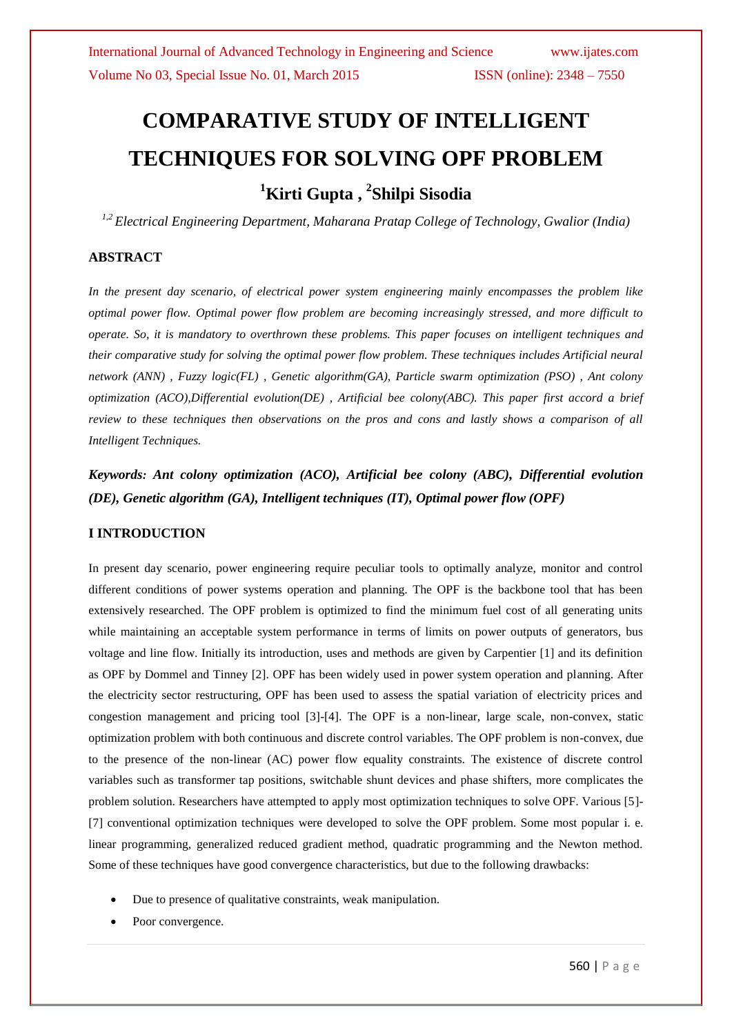# **COMPARATIVE STUDY OF INTELLIGENT TECHNIQUES FOR SOLVING OPF PROBLEM <sup>1</sup>Kirti Gupta , <sup>2</sup> Shilpi Sisodia**

*1,2 Electrical Engineering Department, Maharana Pratap College of Technology, Gwalior (India)*

### **ABSTRACT**

*In the present day scenario, of electrical power system engineering mainly encompasses the problem like optimal power flow. Optimal power flow problem are becoming increasingly stressed, and more difficult to operate. So, it is mandatory to overthrown these problems. This paper focuses on intelligent techniques and their comparative study for solving the optimal power flow problem. These techniques includes Artificial neural network (ANN) , Fuzzy logic(FL) , Genetic algorithm(GA), Particle swarm optimization (PSO) , Ant colony optimization (ACO),Differential evolution(DE) , Artificial bee colony(ABC). This paper first accord a brief review to these techniques then observations on the pros and cons and lastly shows a comparison of all Intelligent Techniques.*

*Keywords: Ant colony optimization (ACO), Artificial bee colony (ABC), Differential evolution (DE), Genetic algorithm (GA), Intelligent techniques (IT), Optimal power flow (OPF)*

### **I INTRODUCTION**

In present day scenario, power engineering require peculiar tools to optimally analyze, monitor and control different conditions of power systems operation and planning. The OPF is the backbone tool that has been extensively researched. The OPF problem is optimized to find the minimum fuel cost of all generating units while maintaining an acceptable system performance in terms of limits on power outputs of generators, bus voltage and line flow. Initially its introduction, uses and methods are given by Carpentier [1] and its definition as OPF by Dommel and Tinney [2]. OPF has been widely used in power system operation and planning. After the electricity sector restructuring, OPF has been used to assess the spatial variation of electricity prices and congestion management and pricing tool [3]-[4]. The OPF is a non-linear, large scale, non-convex, static optimization problem with both continuous and discrete control variables. The OPF problem is non-convex, due to the presence of the non-linear (AC) power flow equality constraints. The existence of discrete control variables such as transformer tap positions, switchable shunt devices and phase shifters, more complicates the problem solution. Researchers have attempted to apply most optimization techniques to solve OPF. Various [5]- [7] conventional optimization techniques were developed to solve the OPF problem. Some most popular i. e. linear programming, generalized reduced gradient method, quadratic programming and the Newton method. Some of these techniques have good convergence characteristics, but due to the following drawbacks:

- Due to presence of qualitative constraints, weak manipulation.
- Poor convergence.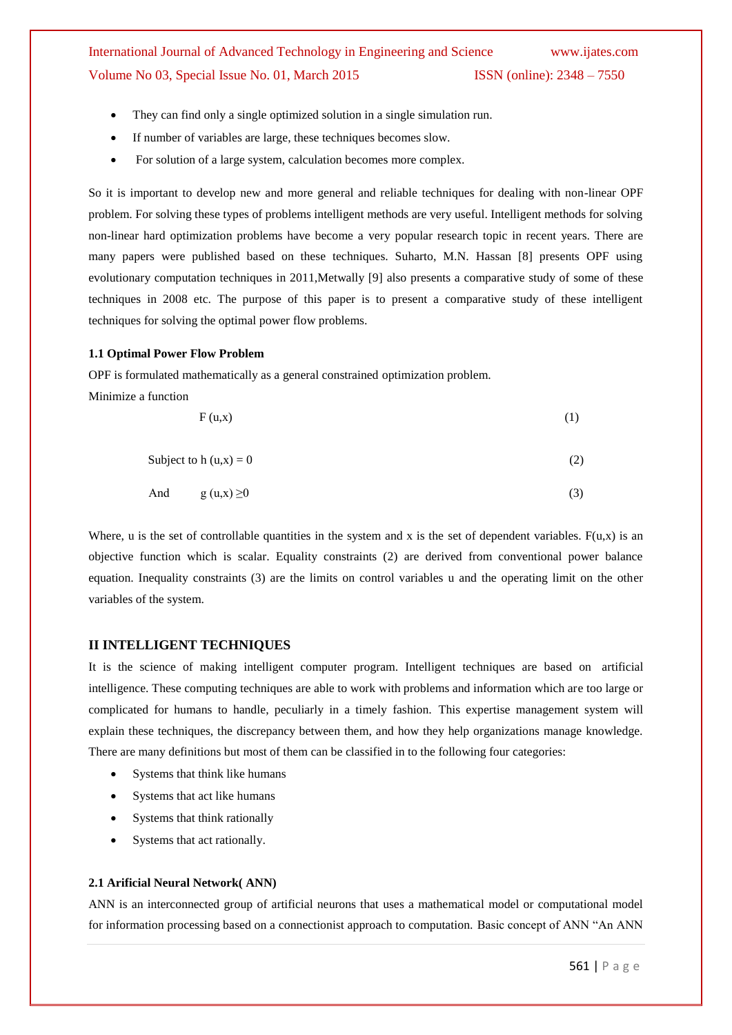- They can find only a single optimized solution in a single simulation run.
- If number of variables are large, these techniques becomes slow.
- For solution of a large system, calculation becomes more complex.

So it is important to develop new and more general and reliable techniques for dealing with non-linear OPF problem. For solving these types of problems intelligent methods are very useful. Intelligent methods for solving non-linear hard optimization problems have become a very popular research topic in recent years. There are many papers were published based on these techniques. Suharto, M.N. Hassan [8] presents OPF using evolutionary computation techniques in 2011,Metwally [9] also presents a comparative study of some of these techniques in 2008 etc. The purpose of this paper is to present a comparative study of these intelligent techniques for solving the optimal power flow problems.

#### **1.1 Optimal Power Flow Problem**

OPF is formulated mathematically as a general constrained optimization problem.

Minimize a function

$$
F(u,x) \tag{1}
$$

Subject to h  $(u,x) = 0$  (2)

And 
$$
g(u,x) \ge 0
$$
 (3)

Where, u is the set of controllable quantities in the system and x is the set of dependent variables.  $F(u,x)$  is an objective function which is scalar. Equality constraints (2) are derived from conventional power balance equation. Inequality constraints (3) are the limits on control variables u and the operating limit on the other variables of the system.

### **II INTELLIGENT TECHNIQUES**

It is the science of making intelligent computer program. Intelligent techniques are based on artificial intelligence. These computing techniques are able to work with problems and information which are too large or complicated for humans to handle, peculiarly in a timely fashion. This expertise management system will explain these techniques, the discrepancy between them, and how they help organizations manage knowledge. There are many definitions but most of them can be classified in to the following four categories:

- Systems that think like humans
- Systems that act like humans
- Systems that think rationally
- Systems that act rationally.

#### **2.1 Arificial Neural Network( ANN)**

ANN is an interconnected group of artificial neurons that uses a mathematical model or computational model for information processing based on a connectionist approach to computation. Basic concept of ANN "An ANN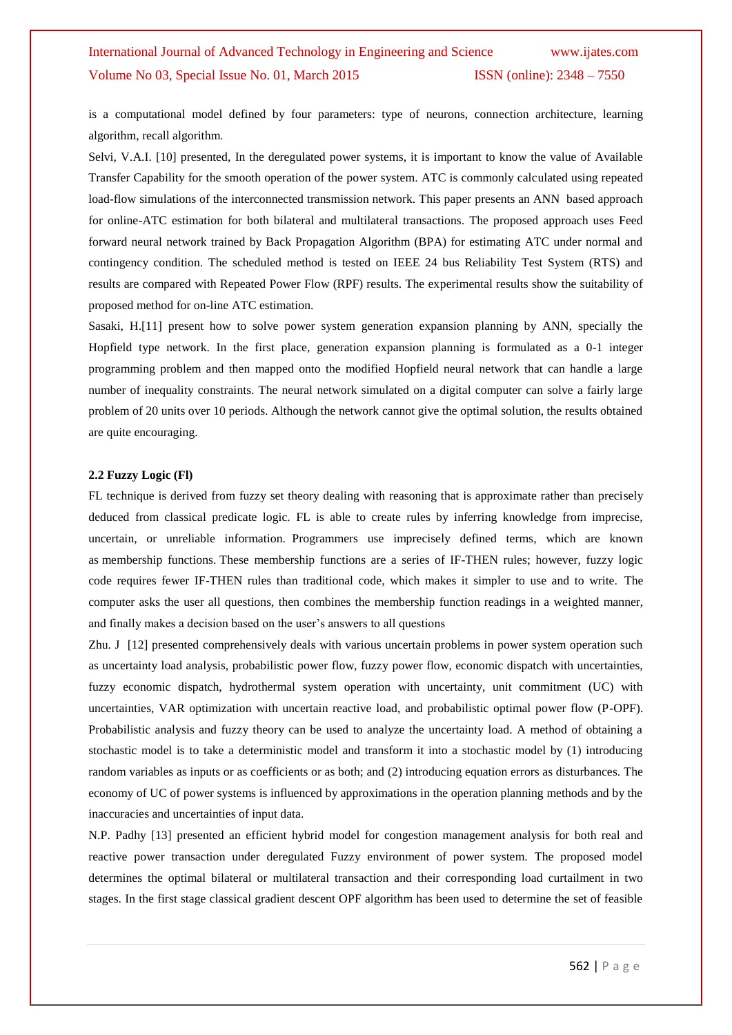is a computational model defined by four parameters: type of neurons, connection architecture, learning algorithm, recall algorithm.

Selvi, V.A.I. [10] presented, In the deregulated power systems, it is important to know the value of Available Transfer Capability for the smooth operation of the power system. ATC is commonly calculated using repeated load-flow simulations of the interconnected transmission network. This paper presents an ANN based approach for online-ATC estimation for both bilateral and multilateral transactions. The proposed approach uses Feed forward neural network trained by Back Propagation Algorithm (BPA) for estimating ATC under normal and contingency condition. The scheduled method is tested on IEEE 24 bus Reliability Test System (RTS) and results are compared with Repeated Power Flow (RPF) results. The experimental results show the suitability of proposed method for on-line ATC estimation.

Sasaki, H.[11] present how to solve power system generation expansion planning by ANN, specially the Hopfield type network. In the first place, generation expansion planning is formulated as a 0-1 integer programming problem and then mapped onto the modified Hopfield neural network that can handle a large number of inequality constraints. The neural network simulated on a digital computer can solve a fairly large problem of 20 units over 10 periods. Although the network cannot give the optimal solution, the results obtained are quite encouraging.

#### **2.2 Fuzzy Logic (Fl)**

FL technique is derived from fuzzy set theory dealing with reasoning that is approximate rather than precisely deduced from classical predicate logic. FL is able to create rules by inferring knowledge from imprecise, uncertain, or unreliable information. Programmers use imprecisely defined terms, which are known as membership functions. These membership functions are a series of IF-THEN rules; however, fuzzy logic code requires fewer IF-THEN rules than traditional code, which makes it simpler to use and to write. The computer asks the user all questions, then combines the membership function readings in a weighted manner, and finally makes a decision based on the user's answers to all questions

Zhu. J [12] presented comprehensively deals with various uncertain problems in power system operation such as uncertainty load analysis, probabilistic power flow, fuzzy power flow, economic dispatch with uncertainties, fuzzy economic dispatch, hydrothermal system operation with uncertainty, unit commitment (UC) with uncertainties, VAR optimization with uncertain reactive load, and probabilistic optimal power flow (P-OPF). Probabilistic analysis and fuzzy theory can be used to analyze the uncertainty load. A method of obtaining a stochastic model is to take a deterministic model and transform it into a stochastic model by (1) introducing random variables as inputs or as coefficients or as both; and (2) introducing equation errors as disturbances. The economy of UC of power systems is influenced by approximations in the operation planning methods and by the inaccuracies and uncertainties of input data.

N.P. Padhy [13] presented an efficient hybrid model for congestion management analysis for both real and reactive power transaction under deregulated Fuzzy environment of power system. The proposed model determines the optimal bilateral or multilateral transaction and their corresponding load curtailment in two stages. In the first stage classical gradient descent OPF algorithm has been used to determine the set of feasible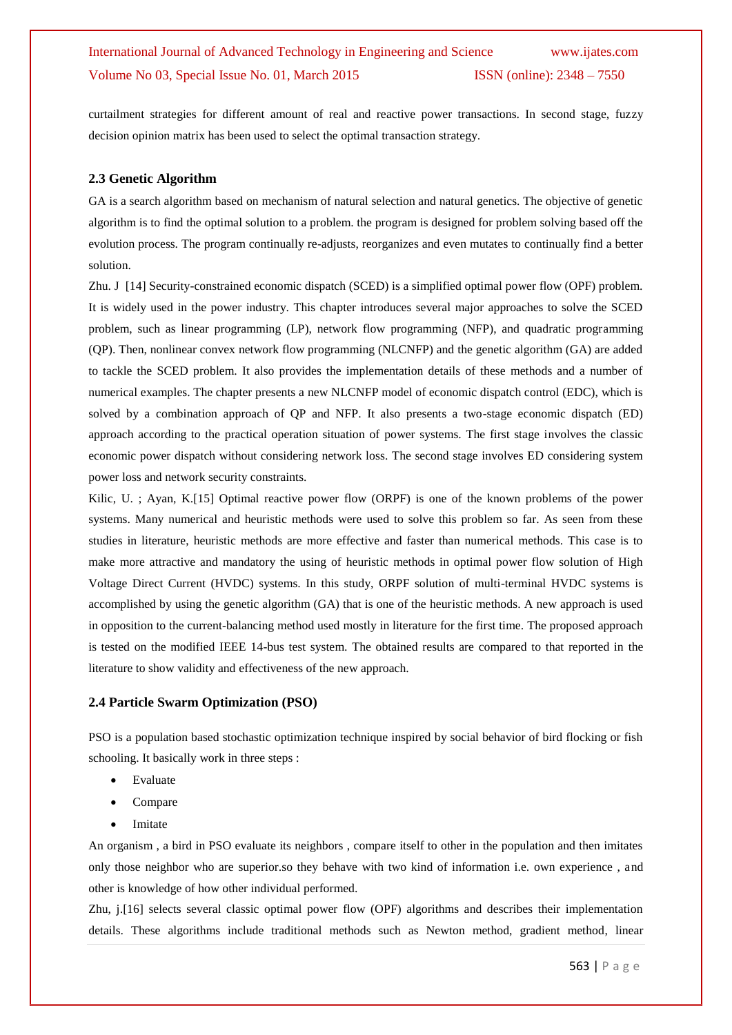curtailment strategies for different amount of real and reactive power transactions. In second stage, fuzzy decision opinion matrix has been used to select the optimal transaction strategy.

### **2.3 Genetic Algorithm**

GA is a search algorithm based on mechanism of natural selection and natural genetics. The objective of genetic algorithm is to find the optimal solution to a problem. the program is designed for problem solving based off the evolution process. The program continually re-adjusts, reorganizes and even mutates to continually find a better solution.

Zhu. J [14] Security-constrained economic dispatch (SCED) is a simplified optimal power flow (OPF) problem. It is widely used in the power industry. This chapter introduces several major approaches to solve the SCED problem, such as linear programming (LP), network flow programming (NFP), and quadratic programming (QP). Then, nonlinear convex network flow programming (NLCNFP) and the genetic algorithm (GA) are added to tackle the SCED problem. It also provides the implementation details of these methods and a number of numerical examples. The chapter presents a new NLCNFP model of economic dispatch control (EDC), which is solved by a combination approach of QP and NFP. It also presents a two-stage economic dispatch (ED) approach according to the practical operation situation of power systems. The first stage involves the classic economic power dispatch without considering network loss. The second stage involves ED considering system power loss and network security constraints.

Kilic, U. ; Ayan, K.[15] Optimal reactive power flow (ORPF) is one of the known problems of the power systems. Many numerical and heuristic methods were used to solve this problem so far. As seen from these studies in literature, heuristic methods are more effective and faster than numerical methods. This case is to make more attractive and mandatory the using of heuristic methods in optimal power flow solution of High Voltage Direct Current (HVDC) systems. In this study, ORPF solution of multi-terminal HVDC systems is accomplished by using the genetic algorithm (GA) that is one of the heuristic methods. A new approach is used in opposition to the current-balancing method used mostly in literature for the first time. The proposed approach is tested on the modified IEEE 14-bus test system. The obtained results are compared to that reported in the literature to show validity and effectiveness of the new approach.

#### **2.4 Particle Swarm Optimization (PSO)**

PSO is a population based stochastic optimization technique inspired by social behavior of bird flocking or fish schooling. It basically work in three steps :

- Evaluate
- Compare
- Imitate

An organism , a bird in PSO evaluate its neighbors , compare itself to other in the population and then imitates only those neighbor who are superior.so they behave with two kind of information i.e. own experience , and other is knowledge of how other individual performed.

Zhu, j.[16] selects several classic optimal power flow (OPF) algorithms and describes their implementation details. These algorithms include traditional methods such as Newton method, gradient method, linear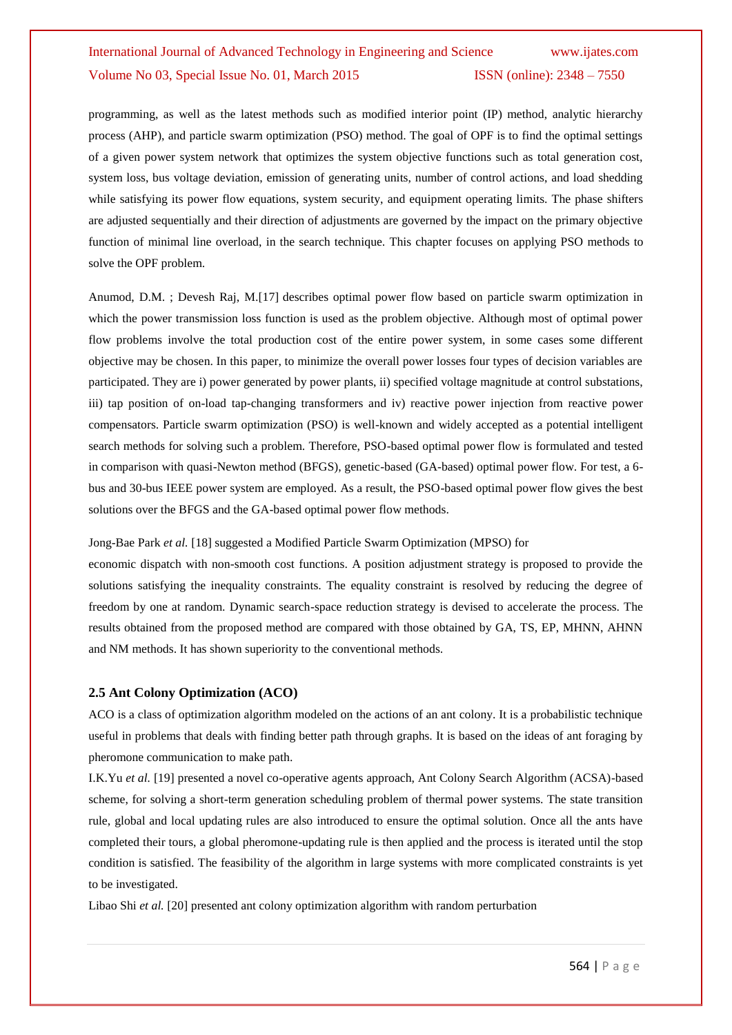programming, as well as the latest methods such as modified interior point (IP) method, analytic hierarchy process (AHP), and particle swarm optimization (PSO) method. The goal of OPF is to find the optimal settings of a given power system network that optimizes the system objective functions such as total generation cost, system loss, bus voltage deviation, emission of generating units, number of control actions, and load shedding while satisfying its power flow equations, system security, and equipment operating limits. The phase shifters are adjusted sequentially and their direction of adjustments are governed by the impact on the primary objective function of minimal line overload, in the search technique. This chapter focuses on applying PSO methods to solve the OPF problem.

Anumod, D.M. ; Devesh Raj, M.[17] describes optimal power flow based on particle swarm optimization in which the power transmission loss function is used as the problem objective. Although most of optimal power flow problems involve the total production cost of the entire power system, in some cases some different objective may be chosen. In this paper, to minimize the overall power losses four types of decision variables are participated. They are i) power generated by power plants, ii) specified voltage magnitude at control substations, iii) tap position of on-load tap-changing transformers and iv) reactive power injection from reactive power compensators. Particle swarm optimization (PSO) is well-known and widely accepted as a potential intelligent search methods for solving such a problem. Therefore, PSO-based optimal power flow is formulated and tested in comparison with quasi-Newton method (BFGS), genetic-based (GA-based) optimal power flow. For test, a 6 bus and 30-bus IEEE power system are employed. As a result, the PSO-based optimal power flow gives the best solutions over the BFGS and the GA-based optimal power flow methods.

Jong-Bae Park *et al.* [18] suggested a Modified Particle Swarm Optimization (MPSO) for

economic dispatch with non-smooth cost functions. A position adjustment strategy is proposed to provide the solutions satisfying the inequality constraints. The equality constraint is resolved by reducing the degree of freedom by one at random. Dynamic search-space reduction strategy is devised to accelerate the process. The results obtained from the proposed method are compared with those obtained by GA, TS, EP, MHNN, AHNN and NM methods. It has shown superiority to the conventional methods.

#### **2.5 Ant Colony Optimization (ACO)**

ACO is a class of optimization algorithm modeled on the actions of an ant colony. It is a probabilistic technique useful in problems that deals with finding better path through graphs. It is based on the ideas of ant foraging by pheromone communication to make path.

I.K.Yu et al. [19] presented a novel co-operative agents approach, Ant Colony Search Algorithm (ACSA)-based scheme, for solving a short-term generation scheduling problem of thermal power systems. The state transition rule, global and local updating rules are also introduced to ensure the optimal solution. Once all the ants have completed their tours, a global pheromone-updating rule is then applied and the process is iterated until the stop condition is satisfied. The feasibility of the algorithm in large systems with more complicated constraints is yet to be investigated.

Libao Shi *et al.* [20] presented ant colony optimization algorithm with random perturbation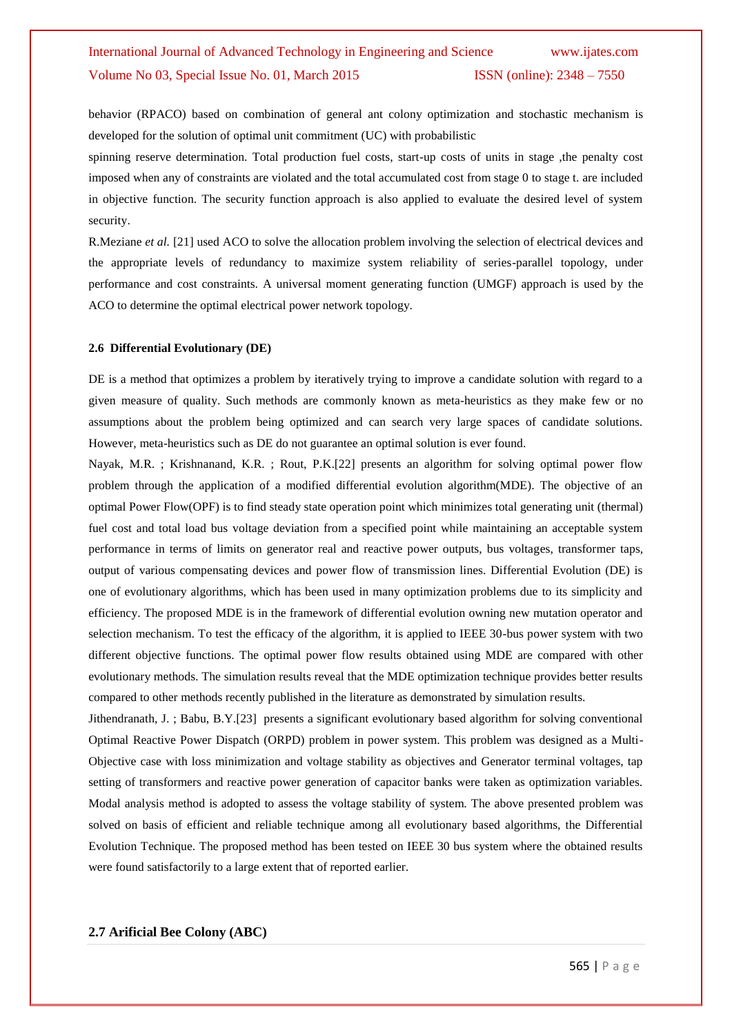behavior (RPACO) based on combination of general ant colony optimization and stochastic mechanism is developed for the solution of optimal unit commitment (UC) with probabilistic

spinning reserve determination. Total production fuel costs, start-up costs of units in stage ,the penalty cost imposed when any of constraints are violated and the total accumulated cost from stage 0 to stage t. are included in objective function. The security function approach is also applied to evaluate the desired level of system security.

R.Meziane *et al.* [21] used ACO to solve the allocation problem involving the selection of electrical devices and the appropriate levels of redundancy to maximize system reliability of series-parallel topology, under performance and cost constraints. A universal moment generating function (UMGF) approach is used by the ACO to determine the optimal electrical power network topology.

#### **2.6 Differential Evolutionary (DE)**

DE is a method that optimizes a problem by iteratively trying to improve a candidate solution with regard to a given measure of quality. Such methods are commonly known as meta-heuristics as they make few or no assumptions about the problem being optimized and can search very large spaces of candidate solutions. However, meta-heuristics such as DE do not guarantee an optimal solution is ever found.

Nayak, M.R. ; Krishnanand, K.R. ; Rout, P.K.[22] presents an algorithm for solving optimal power flow problem through the application of a modified differential evolution algorithm(MDE). The objective of an optimal Power Flow(OPF) is to find steady state operation point which minimizes total generating unit (thermal) fuel cost and total load bus voltage deviation from a specified point while maintaining an acceptable system performance in terms of limits on generator real and reactive power outputs, bus voltages, transformer taps, output of various compensating devices and power flow of transmission lines. Differential Evolution (DE) is one of evolutionary algorithms, which has been used in many optimization problems due to its simplicity and efficiency. The proposed MDE is in the framework of differential evolution owning new mutation operator and selection mechanism. To test the efficacy of the algorithm, it is applied to IEEE 30-bus power system with two different objective functions. The optimal power flow results obtained using MDE are compared with other evolutionary methods. The simulation results reveal that the MDE optimization technique provides better results compared to other methods recently published in the literature as demonstrated by simulation results.

Jithendranath, J. ; Babu, B.Y.[23] presents a significant evolutionary based algorithm for solving conventional Optimal Reactive Power Dispatch (ORPD) problem in power system. This problem was designed as a Multi-Objective case with loss minimization and voltage stability as objectives and Generator terminal voltages, tap setting of transformers and reactive power generation of capacitor banks were taken as optimization variables. Modal analysis method is adopted to assess the voltage stability of system. The above presented problem was solved on basis of efficient and reliable technique among all evolutionary based algorithms, the Differential Evolution Technique. The proposed method has been tested on IEEE 30 bus system where the obtained results were found satisfactorily to a large extent that of reported earlier.

#### **2.7 Arificial Bee Colony (ABC)**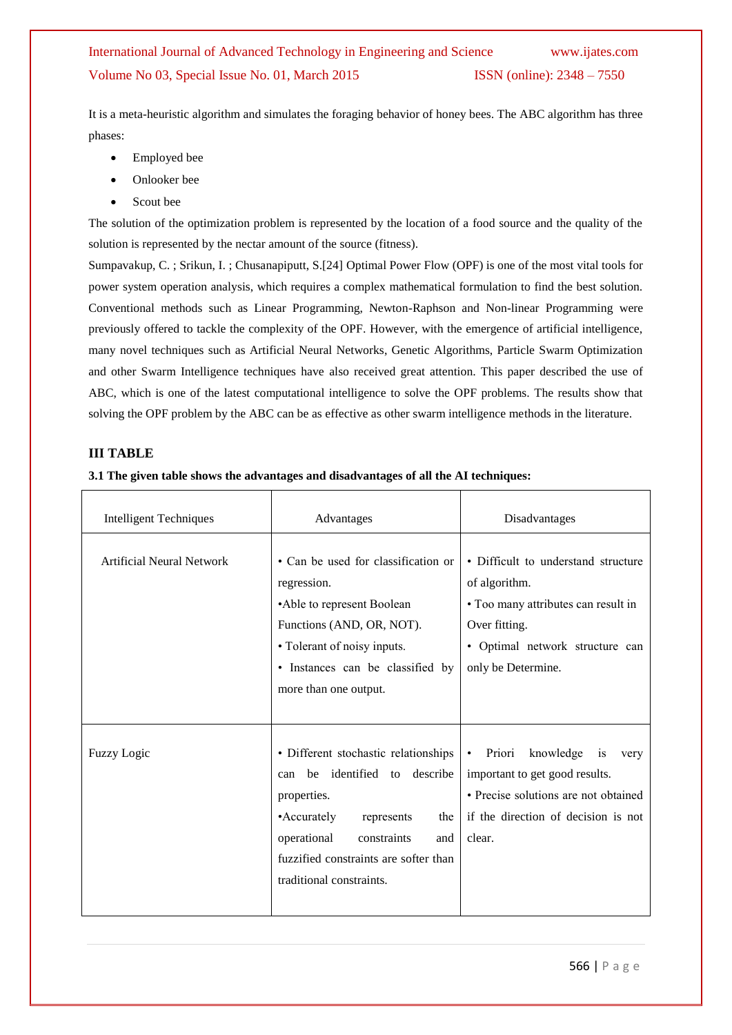It is a meta-heuristic algorithm and simulates the foraging behavior of honey bees. The ABC algorithm has three phases:

- Employed bee
- Onlooker bee
- Scout bee

The solution of the optimization problem is represented by the location of a food source and the quality of the solution is represented by the nectar amount of the source (fitness).

Sumpavakup, C. ; Srikun, I. ; Chusanapiputt, S.[24] Optimal Power Flow (OPF) is one of the most vital tools for power system operation analysis, which requires a complex mathematical formulation to find the best solution. Conventional methods such as Linear Programming, Newton-Raphson and Non-linear Programming were previously offered to tackle the complexity of the OPF. However, with the emergence of artificial intelligence, many novel techniques such as Artificial Neural Networks, Genetic Algorithms, Particle Swarm Optimization and other Swarm Intelligence techniques have also received great attention. This paper described the use of ABC, which is one of the latest computational intelligence to solve the OPF problems. The results show that solving the OPF problem by the ABC can be as effective as other swarm intelligence methods in the literature.

### **III TABLE**

### **3.1 The given table shows the advantages and disadvantages of all the AI techniques:**

| <b>Intelligent Techniques</b> | Advantages                                                                                                                                                                                                                          | Disadvantages                                                                                                                                                          |  |  |
|-------------------------------|-------------------------------------------------------------------------------------------------------------------------------------------------------------------------------------------------------------------------------------|------------------------------------------------------------------------------------------------------------------------------------------------------------------------|--|--|
| Artificial Neural Network     | • Can be used for classification or<br>regression.<br>•Able to represent Boolean<br>Functions (AND, OR, NOT).<br>• Tolerant of noisy inputs.<br>· Instances can be classified by<br>more than one output.                           | • Difficult to understand structure<br>of algorithm.<br>• Too many attributes can result in<br>Over fitting.<br>• Optimal network structure can<br>only be Determine.  |  |  |
| <b>Fuzzy Logic</b>            | • Different stochastic relationships<br>can be identified to describe<br>properties.<br>• Accurately<br>represents<br>the<br>operational<br>constraints<br>and<br>fuzzified constraints are softer than<br>traditional constraints. | Priori<br>knowledge is<br>$\bullet$<br>very<br>important to get good results.<br>• Precise solutions are not obtained<br>if the direction of decision is not<br>clear. |  |  |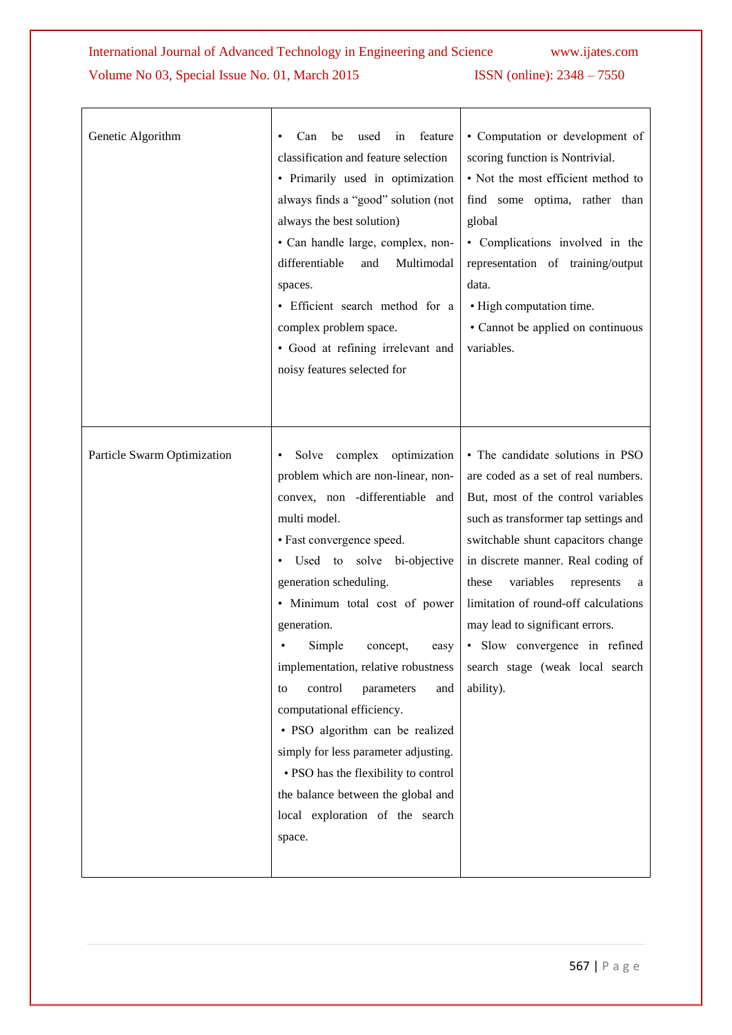| Genetic Algorithm           | be<br>used<br>in<br>feature<br>Can<br>classification and feature selection<br>• Primarily used in optimization<br>always finds a "good" solution (not<br>always the best solution)<br>• Can handle large, complex, non-<br>differentiable<br>Multimodal<br>and<br>spaces.<br>· Efficient search method for a<br>complex problem space.<br>• Good at refining irrelevant and<br>noisy features selected for                                                                                                                                                                                                       | • Computation or development of<br>scoring function is Nontrivial.<br>• Not the most efficient method to<br>find some optima, rather than<br>global<br>• Complications involved in the<br>representation of training/output<br>data.<br>• High computation time.<br>• Cannot be applied on continuous<br>variables.                                                                                                                    |
|-----------------------------|------------------------------------------------------------------------------------------------------------------------------------------------------------------------------------------------------------------------------------------------------------------------------------------------------------------------------------------------------------------------------------------------------------------------------------------------------------------------------------------------------------------------------------------------------------------------------------------------------------------|----------------------------------------------------------------------------------------------------------------------------------------------------------------------------------------------------------------------------------------------------------------------------------------------------------------------------------------------------------------------------------------------------------------------------------------|
| Particle Swarm Optimization | Solve complex<br>optimization<br>٠<br>problem which are non-linear, non-<br>convex, non -differentiable and<br>multi model.<br>• Fast convergence speed.<br>· Used to solve bi-objective<br>generation scheduling.<br>· Minimum total cost of power<br>generation.<br>Simple<br>concept,<br>easy<br>implementation, relative robustness<br>control<br>parameters<br>and<br>to<br>computational efficiency.<br>• PSO algorithm can be realized<br>simply for less parameter adjusting.<br>• PSO has the flexibility to control<br>the balance between the global and<br>local exploration of the search<br>space. | • The candidate solutions in PSO<br>are coded as a set of real numbers.<br>But, most of the control variables<br>such as transformer tap settings and<br>switchable shunt capacitors change<br>in discrete manner. Real coding of<br>these<br>variables<br>represents<br>a<br>limitation of round-off calculations<br>may lead to significant errors.<br>· Slow convergence in refined<br>search stage (weak local search<br>ability). |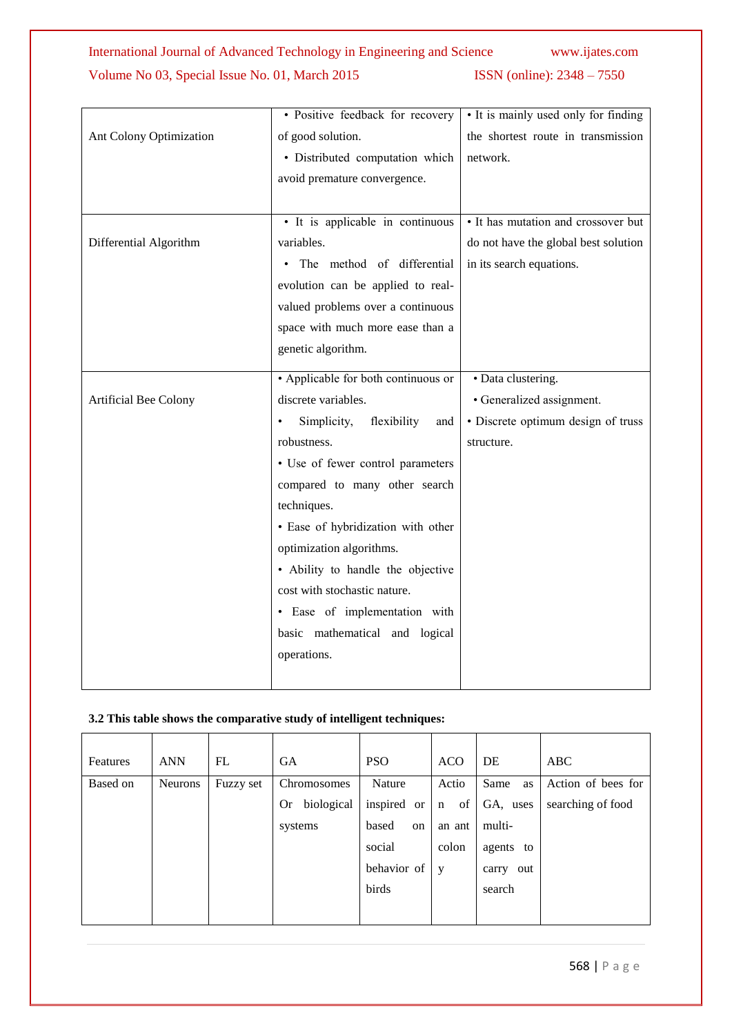|                         | · Positive feedback for recovery               | • It is mainly used only for finding |  |
|-------------------------|------------------------------------------------|--------------------------------------|--|
| Ant Colony Optimization | of good solution.                              | the shortest route in transmission   |  |
|                         | · Distributed computation which                | network.                             |  |
|                         | avoid premature convergence.                   |                                      |  |
|                         |                                                |                                      |  |
|                         | • It is applicable in continuous               | • It has mutation and crossover but  |  |
| Differential Algorithm  | variables.                                     | do not have the global best solution |  |
|                         | The method of differential                     | in its search equations.             |  |
|                         | evolution can be applied to real-              |                                      |  |
|                         | valued problems over a continuous              |                                      |  |
|                         | space with much more ease than a               |                                      |  |
|                         | genetic algorithm.                             |                                      |  |
|                         | • Applicable for both continuous or            | • Data clustering.                   |  |
| Artificial Bee Colony   | discrete variables.                            | • Generalized assignment.            |  |
|                         | Simplicity,<br>flexibility<br>and<br>$\bullet$ | · Discrete optimum design of truss   |  |
|                         | robustness.                                    | structure.                           |  |
|                         | • Use of fewer control parameters              |                                      |  |
|                         | compared to many other search                  |                                      |  |
|                         | techniques.                                    |                                      |  |
|                         | · Ease of hybridization with other             |                                      |  |
|                         | optimization algorithms.                       |                                      |  |
|                         | • Ability to handle the objective              |                                      |  |
|                         | cost with stochastic nature.                   |                                      |  |
|                         | · Ease of implementation with                  |                                      |  |
|                         | basic mathematical and logical                 |                                      |  |
|                         | operations.                                    |                                      |  |
|                         |                                                |                                      |  |

### **3.2 This table shows the comparative study of intelligent techniques:**

| Features | <b>ANN</b>     | FL        | <b>GA</b>               | <b>PSO</b>                | <b>ACO</b>        | DE           | ABC                |
|----------|----------------|-----------|-------------------------|---------------------------|-------------------|--------------|--------------------|
| Based on | <b>Neurons</b> | Fuzzy set | Chromosomes             | Nature                    | Actio             | Same<br>as   | Action of bees for |
|          |                |           | biological<br><b>Or</b> | inspired<br><sub>or</sub> | of<br>$\mathbf n$ | GA, uses     | searching of food  |
|          |                |           | systems                 | based<br>on               | an ant            | multi-       |                    |
|          |                |           |                         | social                    | colon             | agents to    |                    |
|          |                |           |                         | behavior of               | y                 | out<br>carry |                    |
|          |                |           |                         | birds                     |                   | search       |                    |
|          |                |           |                         |                           |                   |              |                    |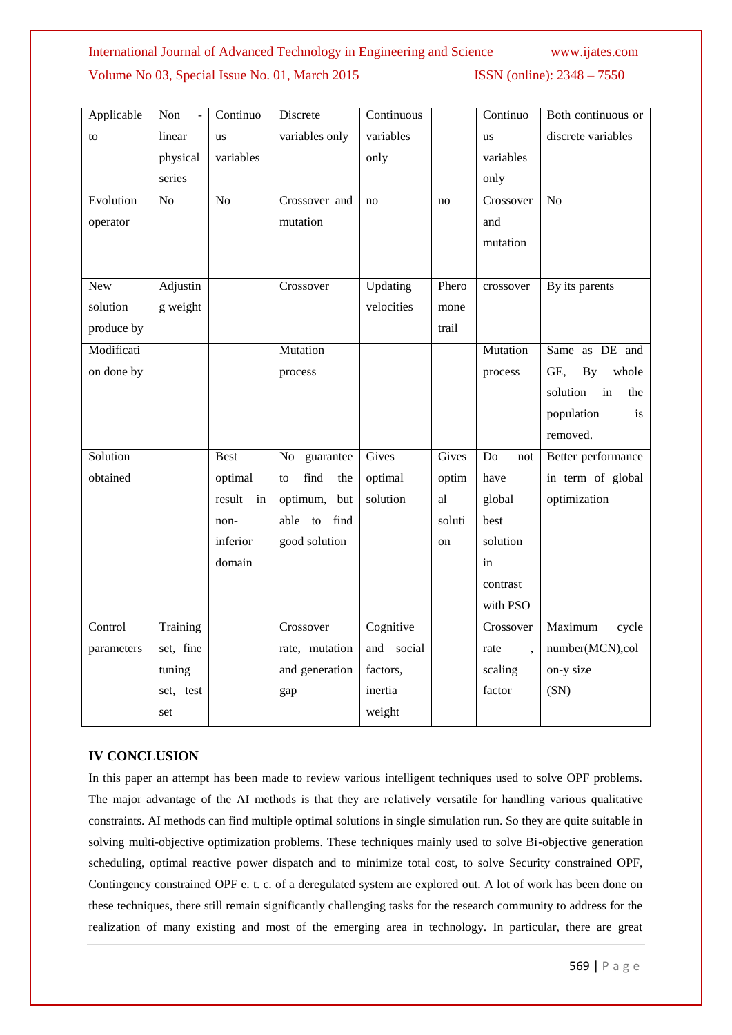# International Journal of Advanced Technology in Engineering and Science www.ijates.com

### Volume No 03, Special Issue No. 01, March 2015 ISSN (online): 2348 – 7550

| Applicable | Non<br>$\overline{a}$ | Continuo     | Discrete          | Continuous |        | Continuo  | Both continuous or                     |
|------------|-----------------------|--------------|-------------------|------------|--------|-----------|----------------------------------------|
| to         | linear                | us           | variables only    | variables  |        | us        | discrete variables                     |
|            | physical              | variables    |                   | only       |        | variables |                                        |
|            | series                |              |                   |            |        | only      |                                        |
| Evolution  | $\overline{No}$       | No           | Crossover and     | no         | no     | Crossover | N <sub>o</sub>                         |
| operator   |                       |              | mutation          |            |        | and       |                                        |
|            |                       |              |                   |            |        | mutation  |                                        |
|            |                       |              |                   |            |        |           |                                        |
| New        | Adjustin              |              | Crossover         | Updating   | Phero  | crossover | By its parents                         |
| solution   | g weight              |              |                   | velocities | mone   |           |                                        |
| produce by |                       |              |                   |            | trail  |           |                                        |
| Modificati |                       |              | Mutation          |            |        | Mutation  | Same as DE and                         |
| on done by |                       |              | process           |            |        | process   | GE,<br>By<br>whole                     |
|            |                       |              |                   |            |        |           | solution<br>$\operatorname{in}$<br>the |
|            |                       |              |                   |            |        |           | population<br>is                       |
|            |                       |              |                   |            |        |           | removed.                               |
| Solution   |                       | <b>Best</b>  | guarantee<br>No   | Gives      | Gives  | Do<br>not | Better performance                     |
| obtained   |                       | optimal      | find<br>the<br>to | optimal    | optim  | have      | in term of global                      |
|            |                       | result<br>in | optimum, but      | solution   | al     | global    | optimization                           |
|            |                       | non-         | able to<br>find   |            | soluti | best      |                                        |
|            |                       | inferior     | good solution     |            | on     | solution  |                                        |
|            |                       | domain       |                   |            |        | in        |                                        |
|            |                       |              |                   |            |        | contrast  |                                        |
|            |                       |              |                   |            |        | with PSO  |                                        |
| Control    | Training              |              | Crossover         | Cognitive  |        | Crossover | Maximum<br>cycle                       |
| parameters | set, fine             |              | rate, mutation    | and social |        | rate      | number(MCN),col                        |
|            | tuning                |              | and generation    | factors,   |        | scaling   | on-y size                              |
|            | set, test             |              | gap               | inertia    |        | factor    | (SN)                                   |
|            | set                   |              |                   | weight     |        |           |                                        |

### **IV CONCLUSION**

In this paper an attempt has been made to review various intelligent techniques used to solve OPF problems. The major advantage of the AI methods is that they are relatively versatile for handling various qualitative constraints. AI methods can find multiple optimal solutions in single simulation run. So they are quite suitable in solving multi-objective optimization problems. These techniques mainly used to solve Bi-objective generation scheduling, optimal reactive power dispatch and to minimize total cost, to solve Security constrained OPF, Contingency constrained OPF e. t. c. of a deregulated system are explored out. A lot of work has been done on these techniques, there still remain significantly challenging tasks for the research community to address for the realization of many existing and most of the emerging area in technology. In particular, there are great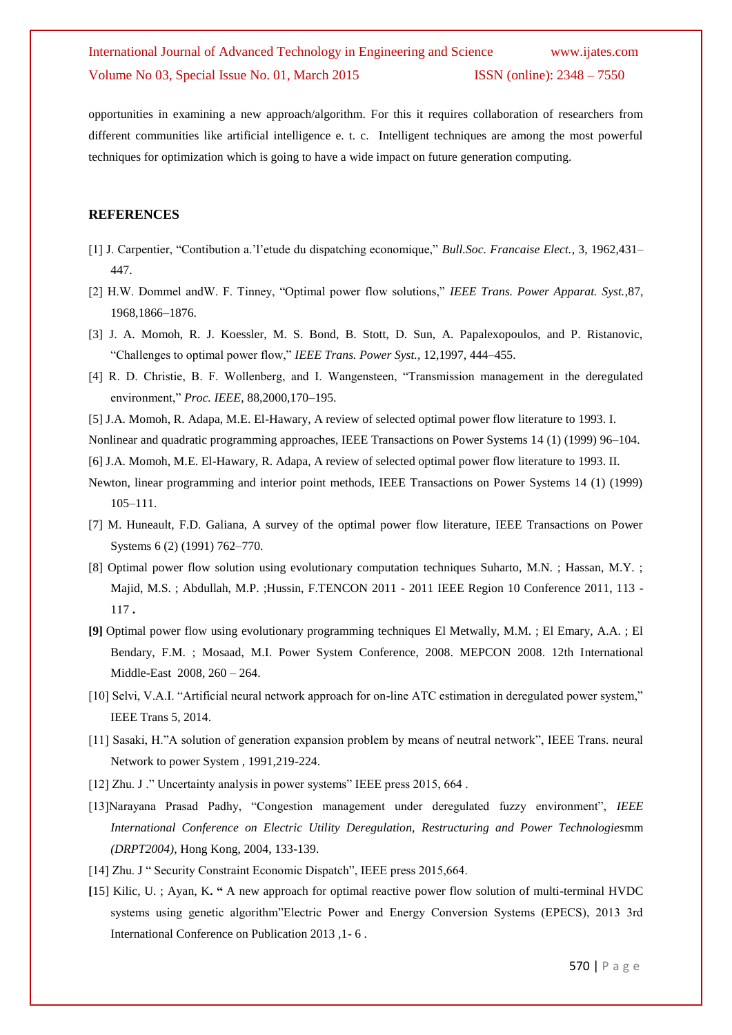opportunities in examining a new approach/algorithm. For this it requires collaboration of researchers from different communities like artificial intelligence e. t. c. Intelligent techniques are among the most powerful techniques for optimization which is going to have a wide impact on future generation computing.

### **REFERENCES**

- [1] J. Carpentier, "Contibution a.'l'etude du dispatching economique," *Bull.Soc. Francaise Elect.*, 3, 1962,431– 447.
- [2] H.W. Dommel andW. F. Tinney, "Optimal power flow solutions," *IEEE Trans. Power Apparat. Syst.*,87, 1968,1866–1876.
- [3] J. A. Momoh, R. J. Koessler, M. S. Bond, B. Stott, D. Sun, A. Papalexopoulos, and P. Ristanovic, "Challenges to optimal power flow," *IEEE Trans. Power Syst.*, 12,1997, 444–455.
- [4] R. D. Christie, B. F. Wollenberg, and I. Wangensteen, "Transmission management in the deregulated environment," *Proc. IEEE*, 88,2000,170–195.
- [5] J.A. Momoh, R. Adapa, M.E. El-Hawary, A review of selected optimal power flow literature to 1993. I.

Nonlinear and quadratic programming approaches, IEEE Transactions on Power Systems 14 (1) (1999) 96–104.

- [6] J.A. Momoh, M.E. El-Hawary, R. Adapa, A review of selected optimal power flow literature to 1993. II.
- Newton, linear programming and interior point methods, IEEE Transactions on Power Systems 14 (1) (1999) 105–111.
- [7] M. Huneault, F.D. Galiana, A survey of the optimal power flow literature, IEEE Transactions on Power Systems 6 (2) (1991) 762–770.
- [8] Optimal power flow solution using evolutionary computation techniques Suharto, M.N. ; Hassan, M.Y. ; Majid, M.S. ; Abdullah, M.P. ;Hussin, F.TENCON 2011 - 2011 IEEE Region 10 Conference 2011, 113 - 117 **.**
- **[9]** Optimal power flow using evolutionary programming techniques El Metwally, M.M. ; El Emary, A.A. ; El Bendary, F.M. ; Mosaad, M.I. Power System Conference, 2008. MEPCON 2008. 12th International Middle-East 2008, 260 – 264.
- [10] Selvi, V.A.I. "Artificial neural network approach for on-line ATC estimation in deregulated power system," IEEE Trans 5, 2014.
- [11] Sasaki, H."A solution of generation expansion problem by means of neutral network", IEEE Trans. neural Network to power System , 1991,219-224.
- [12] Zhu. J." Uncertainty analysis in power systems" IEEE press 2015, 664.
- [13]Narayana Prasad Padhy, "Congestion management under deregulated fuzzy environment", *IEEE International Conference on Electric Utility Deregulation, Restructuring and Power Technologies*mm *(DRPT2004)*, Hong Kong, 2004, 133-139.
- [14] Zhu. J " Security Constraint Economic Dispatch", IEEE press 2015,664.
- **[**15] Kilic, U. ; Ayan, K**. "** A new approach for optimal reactive power flow solution of multi-terminal HVDC systems using genetic algorithm"Electric Power and Energy Conversion Systems (EPECS), 2013 3rd International Conference on Publication 2013 ,1- 6 .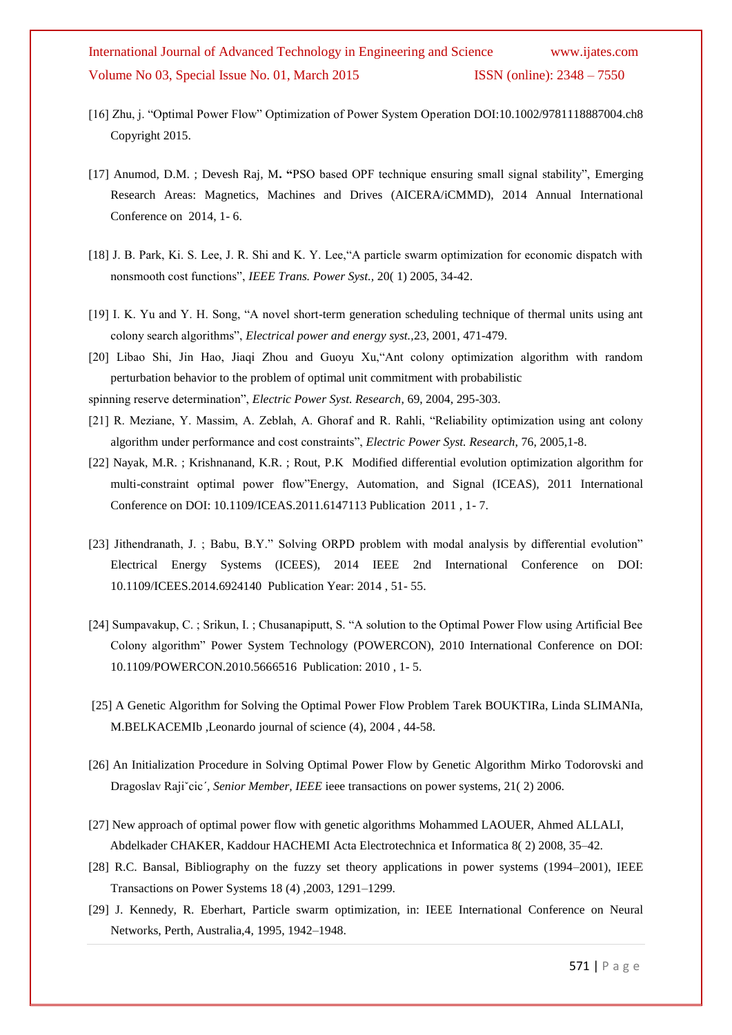- [16] Zhu, j. "Optimal Power Flow" Optimization of Power System Operation DOI:10.1002/9781118887004.ch8 Copyright 2015.
- [17] Anumod, D.M. ; Devesh Raj, M**. "**PSO based OPF technique ensuring small signal stability", Emerging Research Areas: Magnetics, Machines and Drives (AICERA/iCMMD), 2014 Annual International Conference on 2014, 1- 6.
- [18] J. B. Park, Ki. S. Lee, J. R. Shi and K. Y. Lee,"A particle swarm optimization for economic dispatch with nonsmooth cost functions", *IEEE Trans. Power Syst.,* 20( 1) 2005, 34-42.
- [19] I. K. Yu and Y. H. Song, "A novel short-term generation scheduling technique of thermal units using ant colony search algorithms", *Electrical power and energy syst.,*23, 2001, 471-479.
- [20] Libao Shi, Jin Hao, Jiaqi Zhou and Guoyu Xu,"Ant colony optimization algorithm with random perturbation behavior to the problem of optimal unit commitment with probabilistic

spinning reserve determination", *Electric Power Syst. Research*, 69, 2004, 295-303.

- [21] R. Meziane, Y. Massim, A. Zeblah, A. Ghoraf and R. Rahli, "Reliability optimization using ant colony algorithm under performance and cost constraints", *Electric Power Syst. Research*, 76, 2005,1-8.
- [22] Nayak, M.R. ; Krishnanand, K.R. ; Rout, P.K Modified differential evolution optimization algorithm for multi-constraint optimal power flow"Energy, Automation, and Signal (ICEAS), 2011 International Conference on DOI: 10.1109/ICEAS.2011.6147113 Publication 2011 , 1- 7.
- [23] Jithendranath, J. ; Babu, B.Y." Solving ORPD problem with modal analysis by differential evolution" Electrical Energy Systems (ICEES), 2014 IEEE 2nd International Conference on DOI: 10.1109/ICEES.2014.6924140 Publication Year: 2014 , 51- 55.
- [24] Sumpavakup, C. ; Srikun, I. ; Chusanapiputt, S. "A solution to the Optimal Power Flow using Artificial Bee Colony algorithm" Power System Technology (POWERCON), 2010 International Conference on DOI: 10.1109/POWERCON.2010.5666516 Publication: 2010 , 1- 5.
- [25] A Genetic Algorithm for Solving the Optimal Power Flow Problem Tarek BOUKTIRa, Linda SLIMANIa, M.BELKACEMIb ,Leonardo journal of science (4), 2004 , 44-58.
- [26] An Initialization Procedure in Solving Optimal Power Flow by Genetic Algorithm Mirko Todorovski and Dragoslav Rajiˇcic´*, Senior Member, IEEE* ieee transactions on power systems, 21( 2) 2006.
- [27] New approach of optimal power flow with genetic algorithms Mohammed LAOUER, Ahmed ALLALI, Abdelkader CHAKER, Kaddour HACHEMI Acta Electrotechnica et Informatica 8( 2) 2008, 35–42.
- [28] R.C. Bansal, Bibliography on the fuzzy set theory applications in power systems (1994–2001), IEEE Transactions on Power Systems 18 (4) ,2003, 1291–1299.
- [29] J. Kennedy, R. Eberhart, Particle swarm optimization, in: IEEE International Conference on Neural Networks, Perth, Australia,4, 1995, 1942–1948.